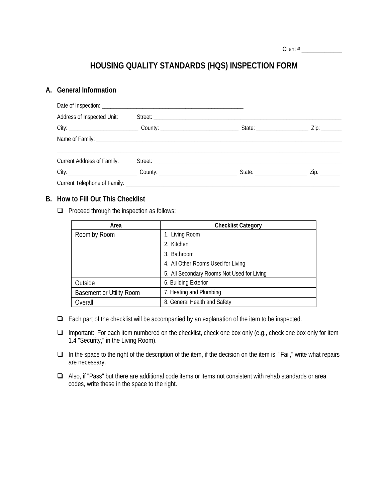| Client $#$ |
|------------|
|------------|

# **HOUSING QUALITY STANDARDS (HQS) INSPECTION FORM**

#### **A. General Information**

| Address of Inspected Unit: |  |  |  |  |  |
|----------------------------|--|--|--|--|--|
|                            |  |  |  |  |  |
|                            |  |  |  |  |  |
| Current Address of Family: |  |  |  |  |  |
|                            |  |  |  |  |  |
|                            |  |  |  |  |  |

#### **B. How to Fill Out This Checklist**

 $\Box$  Proceed through the inspection as follows:

| Area                            | <b>Checklist Category</b>                  |  |
|---------------------------------|--------------------------------------------|--|
| Room by Room                    | 1. Living Room                             |  |
|                                 | 2. Kitchen                                 |  |
|                                 | 3. Bathroom                                |  |
|                                 | 4. All Other Rooms Used for Living         |  |
|                                 | 5. All Secondary Rooms Not Used for Living |  |
| Outside                         | 6. Building Exterior                       |  |
| <b>Basement or Utility Room</b> | 7. Heating and Plumbing                    |  |
| Overall                         | 8. General Health and Safety               |  |

- $\Box$  Each part of the checklist will be accompanied by an explanation of the item to be inspected.
- □ Important: For each item numbered on the checklist, check one box only (e.g., check one box only for item 1.4 "Security," in the Living Room).
- $\Box$  In the space to the right of the description of the item, if the decision on the item is "Fail," write what repairs are necessary.
- □ Also, if "Pass" but there are additional code items or items not consistent with rehab standards or area codes, write these in the space to the right.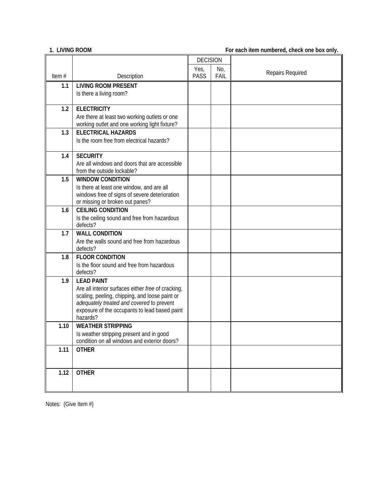**1. LIVING ROOM For each item numbered, check one box only.**

|       |                                                                                          | <b>DECISION</b> |      |                  |
|-------|------------------------------------------------------------------------------------------|-----------------|------|------------------|
|       |                                                                                          | Yes,            | No,  | Repairs Required |
| Item# | Description                                                                              | <b>PASS</b>     | FAIL |                  |
| 1.1   | <b>LIVING ROOM PRESENT</b>                                                               |                 |      |                  |
|       | Is there a living room?                                                                  |                 |      |                  |
| 1.2   | <b>ELECTRICITY</b>                                                                       |                 |      |                  |
|       | Are there at least two working outlets or one                                            |                 |      |                  |
|       | working outlet and one working light fixture?                                            |                 |      |                  |
| 1.3   | <b>ELECTRICAL HAZARDS</b>                                                                |                 |      |                  |
|       | Is the room free from electrical hazards?                                                |                 |      |                  |
|       |                                                                                          |                 |      |                  |
| 1.4   | <b>SECURITY</b>                                                                          |                 |      |                  |
|       | Are all windows and doors that are accessible                                            |                 |      |                  |
|       | from the outside lockable?                                                               |                 |      |                  |
| 1.5   | <b>WINDOW CONDITION</b>                                                                  |                 |      |                  |
|       | Is there at least one window, and are all                                                |                 |      |                  |
|       | windows free of signs of severe deterioration<br>or missing or broken out panes?         |                 |      |                  |
| 1.6   | <b>CEILING CONDITION</b>                                                                 |                 |      |                  |
|       | Is the ceiling sound and free from hazardous                                             |                 |      |                  |
|       | defects?                                                                                 |                 |      |                  |
| 1.7   | <b>WALL CONDITION</b>                                                                    |                 |      |                  |
|       | Are the walls sound and free from hazardous                                              |                 |      |                  |
|       | defects?                                                                                 |                 |      |                  |
| 1.8   | <b>FLOOR CONDITION</b>                                                                   |                 |      |                  |
|       | Is the floor sound and free from hazardous<br>defects?                                   |                 |      |                  |
| 1.9   | <b>LEAD PAINT</b>                                                                        |                 |      |                  |
|       | Are all interior surfaces either free of cracking,                                       |                 |      |                  |
|       | scaling, peeling, chipping, and loose paint or                                           |                 |      |                  |
|       | adequately treated and covered to prevent                                                |                 |      |                  |
|       | exposure of the occupants to lead based paint                                            |                 |      |                  |
|       | hazards?                                                                                 |                 |      |                  |
| 1.10  | <b>WEATHER STRIPPING</b>                                                                 |                 |      |                  |
|       | Is weather stripping present and in good<br>condition on all windows and exterior doors? |                 |      |                  |
| 1.11  | <b>OTHER</b>                                                                             |                 |      |                  |
|       |                                                                                          |                 |      |                  |
|       |                                                                                          |                 |      |                  |
| 1.12  | <b>OTHER</b>                                                                             |                 |      |                  |
|       |                                                                                          |                 |      |                  |
|       |                                                                                          |                 |      |                  |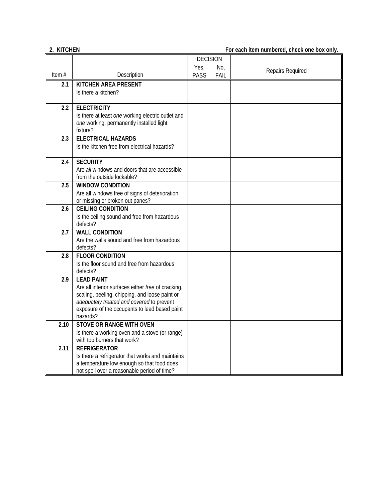## **2. KITCHEN For each item numbered, check one box only.**

|          |                                                                                            | <b>DECISION</b> |      |                  |
|----------|--------------------------------------------------------------------------------------------|-----------------|------|------------------|
|          |                                                                                            | Yes,            | No,  | Repairs Required |
| Item $#$ | Description                                                                                | <b>PASS</b>     | FAIL |                  |
| 2.1      | <b>KITCHEN AREA PRESENT</b>                                                                |                 |      |                  |
|          | Is there a kitchen?                                                                        |                 |      |                  |
|          |                                                                                            |                 |      |                  |
| 2.2      | <b>ELECTRICITY</b>                                                                         |                 |      |                  |
|          | Is there at least one working electric outlet and                                          |                 |      |                  |
|          | one working, permanently installed light<br>fixture?                                       |                 |      |                  |
| 2.3      | <b>ELECTRICAL HAZARDS</b>                                                                  |                 |      |                  |
|          | Is the kitchen free from electrical hazards?                                               |                 |      |                  |
|          |                                                                                            |                 |      |                  |
| 2.4      | <b>SECURITY</b>                                                                            |                 |      |                  |
|          | Are all windows and doors that are accessible                                              |                 |      |                  |
|          | from the outside lockable?                                                                 |                 |      |                  |
| 2.5      | <b>WINDOW CONDITION</b>                                                                    |                 |      |                  |
|          | Are all windows free of signs of deterioration                                             |                 |      |                  |
|          | or missing or broken out panes?                                                            |                 |      |                  |
| 2.6      | <b>CEILING CONDITION</b>                                                                   |                 |      |                  |
|          | Is the ceiling sound and free from hazardous                                               |                 |      |                  |
| 2.7      | defects?<br><b>WALL CONDITION</b>                                                          |                 |      |                  |
|          | Are the walls sound and free from hazardous                                                |                 |      |                  |
|          | defects?                                                                                   |                 |      |                  |
| 2.8      | <b>FLOOR CONDITION</b>                                                                     |                 |      |                  |
|          | Is the floor sound and free from hazardous                                                 |                 |      |                  |
|          | defects?                                                                                   |                 |      |                  |
| 2.9      | <b>LEAD PAINT</b>                                                                          |                 |      |                  |
|          | Are all interior surfaces either free of cracking,                                         |                 |      |                  |
|          | scaling, peeling, chipping, and loose paint or                                             |                 |      |                  |
|          | adequately treated and covered to prevent<br>exposure of the occupants to lead based paint |                 |      |                  |
|          | hazards?                                                                                   |                 |      |                  |
| 2.10     | <b>STOVE OR RANGE WITH OVEN</b>                                                            |                 |      |                  |
|          | Is there a working oven and a stove (or range)                                             |                 |      |                  |
|          | with top burners that work?                                                                |                 |      |                  |
| 2.11     | <b>REFRIGERATOR</b>                                                                        |                 |      |                  |
|          | Is there a refrigerator that works and maintains                                           |                 |      |                  |
|          | a temperature low enough so that food does                                                 |                 |      |                  |
|          | not spoil over a reasonable period of time?                                                |                 |      |                  |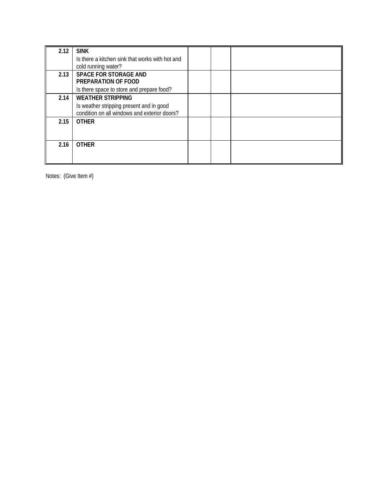| 2.12 | <b>SINK</b>                                                                              |  |  |
|------|------------------------------------------------------------------------------------------|--|--|
|      | Is there a kitchen sink that works with hot and<br>cold running water?                   |  |  |
| 2.13 | <b>SPACE FOR STORAGE AND</b>                                                             |  |  |
|      | PREPARATION OF FOOD                                                                      |  |  |
|      | Is there space to store and prepare food?                                                |  |  |
| 2.14 | <b>WEATHER STRIPPING</b>                                                                 |  |  |
|      | Is weather stripping present and in good<br>condition on all windows and exterior doors? |  |  |
| 2.15 | <b>OTHER</b>                                                                             |  |  |
|      |                                                                                          |  |  |
| 2.16 | <b>OTHER</b>                                                                             |  |  |
|      |                                                                                          |  |  |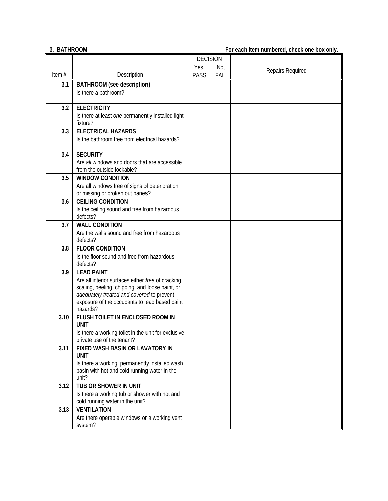## **3. BATHROOM For each item numbered, check one box only.**

|          |                                                                                            | <b>DECISION</b> |      |                  |
|----------|--------------------------------------------------------------------------------------------|-----------------|------|------------------|
|          |                                                                                            | Yes,            | No,  | Repairs Required |
| Item $#$ | Description                                                                                | <b>PASS</b>     | FAIL |                  |
| 3.1      | <b>BATHROOM</b> (see description)                                                          |                 |      |                  |
|          | Is there a bathroom?                                                                       |                 |      |                  |
| 3.2      | <b>ELECTRICITY</b>                                                                         |                 |      |                  |
|          | Is there at least one permanently installed light                                          |                 |      |                  |
|          | fixture?                                                                                   |                 |      |                  |
| 3.3      | <b>ELECTRICAL HAZARDS</b>                                                                  |                 |      |                  |
|          | Is the bathroom free from electrical hazards?                                              |                 |      |                  |
|          |                                                                                            |                 |      |                  |
| 3.4      | <b>SECURITY</b>                                                                            |                 |      |                  |
|          | Are all windows and doors that are accessible<br>from the outside lockable?                |                 |      |                  |
| 3.5      | <b>WINDOW CONDITION</b>                                                                    |                 |      |                  |
|          | Are all windows free of signs of deterioration                                             |                 |      |                  |
|          | or missing or broken out panes?                                                            |                 |      |                  |
| 3.6      | <b>CEILING CONDITION</b>                                                                   |                 |      |                  |
|          | Is the ceiling sound and free from hazardous                                               |                 |      |                  |
|          | defects?                                                                                   |                 |      |                  |
| 3.7      | <b>WALL CONDITION</b>                                                                      |                 |      |                  |
|          | Are the walls sound and free from hazardous<br>defects?                                    |                 |      |                  |
| 3.8      | <b>FLOOR CONDITION</b>                                                                     |                 |      |                  |
|          | Is the floor sound and free from hazardous                                                 |                 |      |                  |
|          | defects?                                                                                   |                 |      |                  |
| 3.9      | <b>LEAD PAINT</b>                                                                          |                 |      |                  |
|          | Are all interior surfaces either free of cracking,                                         |                 |      |                  |
|          | scaling, peeling, chipping, and loose paint, or                                            |                 |      |                  |
|          | adequately treated and covered to prevent<br>exposure of the occupants to lead based paint |                 |      |                  |
|          | hazards?                                                                                   |                 |      |                  |
| 3.10     | FLUSH TOILET IN ENCLOSED ROOM IN                                                           |                 |      |                  |
|          | <b>UNIT</b>                                                                                |                 |      |                  |
|          | Is there a working toilet in the unit for exclusive                                        |                 |      |                  |
|          | private use of the tenant?                                                                 |                 |      |                  |
| 3.11     | FIXED WASH BASIN OR LAVATORY IN<br><b>UNIT</b>                                             |                 |      |                  |
|          | Is there a working, permanently installed wash                                             |                 |      |                  |
|          | basin with hot and cold running water in the                                               |                 |      |                  |
|          | unit?                                                                                      |                 |      |                  |
| 3.12     | TUB OR SHOWER IN UNIT                                                                      |                 |      |                  |
|          | Is there a working tub or shower with hot and                                              |                 |      |                  |
|          | cold running water in the unit?                                                            |                 |      |                  |
| 3.13     | <b>VENTILATION</b><br>Are there operable windows or a working vent                         |                 |      |                  |
|          | system?                                                                                    |                 |      |                  |
|          |                                                                                            |                 |      |                  |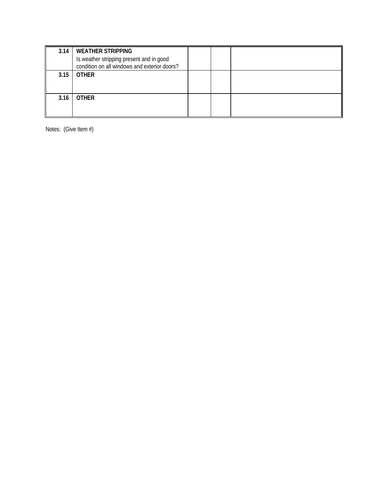| 3.14 | <b>WEATHER STRIPPING</b><br>Is weather stripping present and in good<br>condition on all windows and exterior doors? |  |  |
|------|----------------------------------------------------------------------------------------------------------------------|--|--|
| 3.15 | <b>OTHER</b>                                                                                                         |  |  |
| 3.16 | <b>OTHER</b>                                                                                                         |  |  |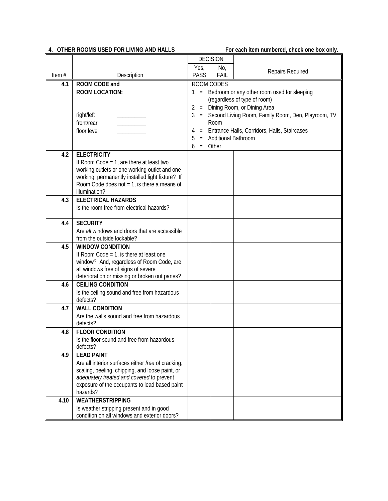## **4. OTHER ROOMS USED FOR LIVING AND HALLS For each item numbered, check one box only.**

|          |                                                                             |                                                 | <b>DECISION</b>       |                                                      |
|----------|-----------------------------------------------------------------------------|-------------------------------------------------|-----------------------|------------------------------------------------------|
|          |                                                                             | Yes,                                            | No,                   | Repairs Required                                     |
| Item $#$ | Description                                                                 | <b>PASS</b>                                     | <b>FAIL</b>           |                                                      |
| 4.1      | ROOM CODE and                                                               |                                                 | ROOM CODES            |                                                      |
|          | <b>ROOM LOCATION:</b>                                                       | 1 = Bedroom or any other room used for sleeping |                       |                                                      |
|          |                                                                             | (regardless of type of room)                    |                       |                                                      |
|          |                                                                             | = Dining Room, or Dining Area<br>2              |                       |                                                      |
|          | right/left                                                                  | 3                                               |                       | = Second Living Room, Family Room, Den, Playroom, TV |
|          | front/rear                                                                  |                                                 | Room                  |                                                      |
|          | floor level                                                                 | 4                                               | = Additional Bathroom | Entrance Halls, Corridors, Halls, Staircases         |
|          |                                                                             | 5<br>6                                          | $=$ Other             |                                                      |
| 4.2      | <b>ELECTRICITY</b>                                                          |                                                 |                       |                                                      |
|          | If Room Code = $1$ , are there at least two                                 |                                                 |                       |                                                      |
|          | working outlets or one working outlet and one                               |                                                 |                       |                                                      |
|          | working, permanently installed light fixture? If                            |                                                 |                       |                                                      |
|          | Room Code does not $= 1$ , is there a means of                              |                                                 |                       |                                                      |
|          | illumination?                                                               |                                                 |                       |                                                      |
| 4.3      | <b>ELECTRICAL HAZARDS</b>                                                   |                                                 |                       |                                                      |
|          | Is the room free from electrical hazards?                                   |                                                 |                       |                                                      |
|          |                                                                             |                                                 |                       |                                                      |
| 4.4      | <b>SECURITY</b>                                                             |                                                 |                       |                                                      |
|          | Are all windows and doors that are accessible<br>from the outside lockable? |                                                 |                       |                                                      |
| 4.5      | <b>WINDOW CONDITION</b>                                                     |                                                 |                       |                                                      |
|          | If Room Code = $1$ , is there at least one                                  |                                                 |                       |                                                      |
|          | window? And, regardless of Room Code, are                                   |                                                 |                       |                                                      |
|          | all windows free of signs of severe                                         |                                                 |                       |                                                      |
|          | deterioration or missing or broken out panes?                               |                                                 |                       |                                                      |
| 4.6      | <b>CEILING CONDITION</b>                                                    |                                                 |                       |                                                      |
|          | Is the ceiling sound and free from hazardous                                |                                                 |                       |                                                      |
|          | defects?                                                                    |                                                 |                       |                                                      |
| 4.7      | <b>WALL CONDITION</b>                                                       |                                                 |                       |                                                      |
|          | Are the walls sound and free from hazardous                                 |                                                 |                       |                                                      |
| 4.8      | defects?<br><b>FLOOR CONDITION</b>                                          |                                                 |                       |                                                      |
|          | Is the floor sound and free from hazardous                                  |                                                 |                       |                                                      |
|          | defects?                                                                    |                                                 |                       |                                                      |
| 4.9      | <b>LEAD PAINT</b>                                                           |                                                 |                       |                                                      |
|          | Are all interior surfaces either free of cracking,                          |                                                 |                       |                                                      |
|          | scaling, peeling, chipping, and loose paint, or                             |                                                 |                       |                                                      |
|          | adequately treated and covered to prevent                                   |                                                 |                       |                                                      |
|          | exposure of the occupants to lead based paint                               |                                                 |                       |                                                      |
|          | hazards?                                                                    |                                                 |                       |                                                      |
| 4.10     | <b>WEATHERSTRIPPING</b>                                                     |                                                 |                       |                                                      |
|          | Is weather stripping present and in good                                    |                                                 |                       |                                                      |
|          | condition on all windows and exterior doors?                                |                                                 |                       |                                                      |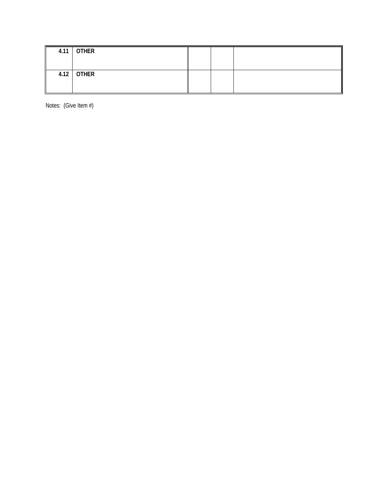| $4.11$ OTHER |  |  |
|--------------|--|--|
| $4.12$ OTHER |  |  |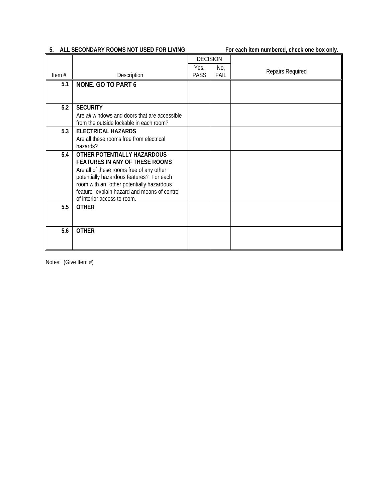# **5. ALL SECONDARY ROOMS NOT USED FOR LIVING For each item numbered, check one box only.**

|          |                                                                                                                                       | <b>DECISION</b> |             |                  |
|----------|---------------------------------------------------------------------------------------------------------------------------------------|-----------------|-------------|------------------|
| Item $#$ | Description                                                                                                                           | Yes,<br>PASS    | No,<br>FAIL | Repairs Required |
| 5.1      | <b>NONE. GO TO PART 6</b>                                                                                                             |                 |             |                  |
|          |                                                                                                                                       |                 |             |                  |
| 5.2      | <b>SECURITY</b>                                                                                                                       |                 |             |                  |
|          | Are all windows and doors that are accessible<br>from the outside lockable in each room?                                              |                 |             |                  |
| 5.3      | <b>ELECTRICAL HAZARDS</b>                                                                                                             |                 |             |                  |
|          | Are all these rooms free from electrical<br>hazards?                                                                                  |                 |             |                  |
| 5.4      | OTHER POTENTIALLY HAZARDOUS<br><b>FEATURES IN ANY OF THESE ROOMS</b><br>Are all of these rooms free of any other                      |                 |             |                  |
|          | potentially hazardous features? For each<br>room with an "other potentially hazardous<br>feature" explain hazard and means of control |                 |             |                  |
| 5.5      | of interior access to room.<br><b>OTHER</b>                                                                                           |                 |             |                  |
|          |                                                                                                                                       |                 |             |                  |
| 5.6      | <b>OTHER</b>                                                                                                                          |                 |             |                  |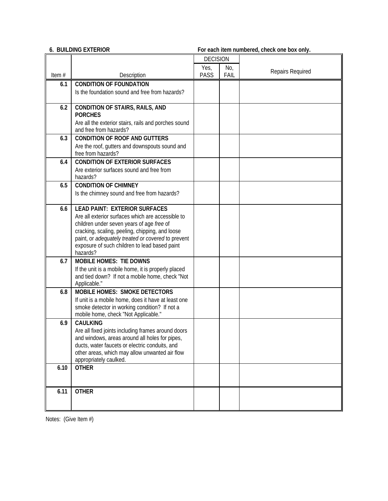# **6. BUILDING EXTERIOR For each item numbered, check one box only.**

|       |                                                         | <b>DECISION</b> |      |                  |
|-------|---------------------------------------------------------|-----------------|------|------------------|
|       |                                                         | Yes,            | No,  |                  |
| Item# | Description                                             | PASS            | FAIL | Repairs Required |
| 6.1   | <b>CONDITION OF FOUNDATION</b>                          |                 |      |                  |
|       | Is the foundation sound and free from hazards?          |                 |      |                  |
|       |                                                         |                 |      |                  |
| 6.2   | <b>CONDITION OF STAIRS, RAILS, AND</b>                  |                 |      |                  |
|       | <b>PORCHES</b>                                          |                 |      |                  |
|       | Are all the exterior stairs, rails and porches sound    |                 |      |                  |
|       | and free from hazards?                                  |                 |      |                  |
| 6.3   | <b>CONDITION OF ROOF AND GUTTERS</b>                    |                 |      |                  |
|       | Are the roof, gutters and downspouts sound and          |                 |      |                  |
|       | free from hazards?                                      |                 |      |                  |
| 6.4   | <b>CONDITION OF EXTERIOR SURFACES</b>                   |                 |      |                  |
|       | Are exterior surfaces sound and free from               |                 |      |                  |
|       | hazards?                                                |                 |      |                  |
| 6.5   | <b>CONDITION OF CHIMNEY</b>                             |                 |      |                  |
|       | Is the chimney sound and free from hazards?             |                 |      |                  |
| 6.6   | <b>LEAD PAINT: EXTERIOR SURFACES</b>                    |                 |      |                  |
|       | Are all exterior surfaces which are accessible to       |                 |      |                  |
|       | children under seven years of age free of               |                 |      |                  |
|       | cracking, scaling, peeling, chipping, and loose         |                 |      |                  |
|       | paint, or adequately treated or covered to prevent      |                 |      |                  |
|       | exposure of such children to lead based paint           |                 |      |                  |
|       | hazards?                                                |                 |      |                  |
| 6.7   | <b>MOBILE HOMES: TIE DOWNS</b>                          |                 |      |                  |
|       | If the unit is a mobile home, it is properly placed     |                 |      |                  |
|       | and tied down? If not a mobile home, check "Not         |                 |      |                  |
|       | Applicable."                                            |                 |      |                  |
| 6.8   | <b>MOBILE HOMES: SMOKE DETECTORS</b>                    |                 |      |                  |
|       | If unit is a mobile home, does it have at least one     |                 |      |                  |
|       | smoke detector in working condition? If not a           |                 |      |                  |
| 6.9   | mobile home, check "Not Applicable."<br><b>CAULKING</b> |                 |      |                  |
|       | Are all fixed joints including frames around doors      |                 |      |                  |
|       | and windows, areas around all holes for pipes,          |                 |      |                  |
|       | ducts, water faucets or electric conduits, and          |                 |      |                  |
|       | other areas, which may allow unwanted air flow          |                 |      |                  |
|       | appropriately caulked.                                  |                 |      |                  |
| 6.10  | <b>OTHER</b>                                            |                 |      |                  |
|       |                                                         |                 |      |                  |
|       |                                                         |                 |      |                  |
| 6.11  | <b>OTHER</b>                                            |                 |      |                  |
|       |                                                         |                 |      |                  |
|       |                                                         |                 |      |                  |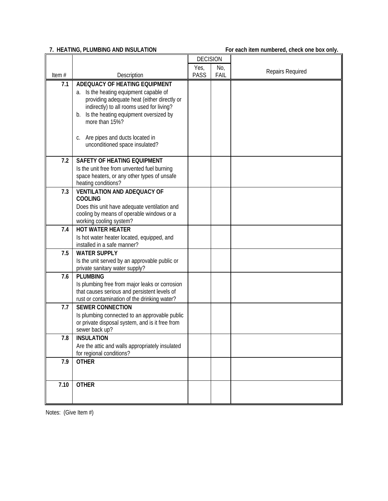**7. HEATING, PLUMBING AND INSULATION For each item numbered, check one box only.**

|       |                                                                                              | <b>DECISION</b> |      |                  |
|-------|----------------------------------------------------------------------------------------------|-----------------|------|------------------|
|       |                                                                                              | Yes,            | No,  | Repairs Required |
| Item# | Description                                                                                  | <b>PASS</b>     | FAIL |                  |
| 7.1   | ADEQUACY OF HEATING EQUIPMENT                                                                |                 |      |                  |
|       | a. Is the heating equipment capable of<br>providing adequate heat (either directly or        |                 |      |                  |
|       | indirectly) to all rooms used for living?                                                    |                 |      |                  |
|       | Is the heating equipment oversized by<br>b.                                                  |                 |      |                  |
|       | more than 15%?                                                                               |                 |      |                  |
|       | Are pipes and ducts located in<br>C.                                                         |                 |      |                  |
|       | unconditioned space insulated?                                                               |                 |      |                  |
|       |                                                                                              |                 |      |                  |
| 7.2   | <b>SAFETY OF HEATING EQUIPMENT</b>                                                           |                 |      |                  |
|       | Is the unit free from unvented fuel burning                                                  |                 |      |                  |
|       | space heaters, or any other types of unsafe<br>heating conditions?                           |                 |      |                  |
| 7.3   | <b>VENTILATION AND ADEQUACY OF</b>                                                           |                 |      |                  |
|       | <b>COOLING</b>                                                                               |                 |      |                  |
|       | Does this unit have adequate ventilation and<br>cooling by means of operable windows or a    |                 |      |                  |
|       | working cooling system?                                                                      |                 |      |                  |
| 7.4   | <b>HOT WATER HEATER</b>                                                                      |                 |      |                  |
|       | Is hot water heater located, equipped, and                                                   |                 |      |                  |
|       | installed in a safe manner?                                                                  |                 |      |                  |
| 7.5   | <b>WATER SUPPLY</b><br>Is the unit served by an approvable public or                         |                 |      |                  |
|       | private sanitary water supply?                                                               |                 |      |                  |
| 7.6   | <b>PLUMBING</b>                                                                              |                 |      |                  |
|       | Is plumbing free from major leaks or corrosion                                               |                 |      |                  |
|       | that causes serious and persistent levels of<br>rust or contamination of the drinking water? |                 |      |                  |
| 7.7   | <b>SEWER CONNECTION</b>                                                                      |                 |      |                  |
|       | Is plumbing connected to an approvable public                                                |                 |      |                  |
|       | or private disposal system, and is it free from                                              |                 |      |                  |
|       | sewer back up?                                                                               |                 |      |                  |
| 7.8   | <b>INSULATION</b><br>Are the attic and walls appropriately insulated                         |                 |      |                  |
|       | for regional conditions?                                                                     |                 |      |                  |
| 7.9   | <b>OTHER</b>                                                                                 |                 |      |                  |
|       |                                                                                              |                 |      |                  |
| 7.10  | <b>OTHER</b>                                                                                 |                 |      |                  |
|       |                                                                                              |                 |      |                  |
|       |                                                                                              |                 |      |                  |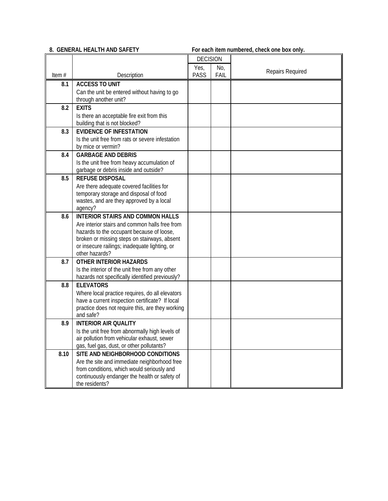**8. GENERAL HEALTH AND SAFETY For each item numbered, check one box only.**

|          |                                                                                                    | <b>DECISION</b> |      |                  |
|----------|----------------------------------------------------------------------------------------------------|-----------------|------|------------------|
|          |                                                                                                    | Yes,            | No,  |                  |
| Item $#$ | Description                                                                                        | <b>PASS</b>     | FAIL | Repairs Required |
| 8.1      | <b>ACCESS TO UNIT</b>                                                                              |                 |      |                  |
|          | Can the unit be entered without having to go                                                       |                 |      |                  |
|          | through another unit?                                                                              |                 |      |                  |
| 8.2      | <b>EXITS</b>                                                                                       |                 |      |                  |
|          | Is there an acceptable fire exit from this                                                         |                 |      |                  |
|          | building that is not blocked?                                                                      |                 |      |                  |
| 8.3      | <b>EVIDENCE OF INFESTATION</b>                                                                     |                 |      |                  |
|          | Is the unit free from rats or severe infestation                                                   |                 |      |                  |
|          | by mice or vermin?                                                                                 |                 |      |                  |
| 8.4      | <b>GARBAGE AND DEBRIS</b>                                                                          |                 |      |                  |
|          | Is the unit free from heavy accumulation of                                                        |                 |      |                  |
|          | garbage or debris inside and outside?                                                              |                 |      |                  |
| 8.5      | <b>REFUSE DISPOSAL</b>                                                                             |                 |      |                  |
|          | Are there adequate covered facilities for                                                          |                 |      |                  |
|          | temporary storage and disposal of food                                                             |                 |      |                  |
|          | wastes, and are they approved by a local                                                           |                 |      |                  |
|          | agency?                                                                                            |                 |      |                  |
| 8.6      | <b>INTERIOR STAIRS AND COMMON HALLS</b>                                                            |                 |      |                  |
|          | Are interior stairs and common halls free from                                                     |                 |      |                  |
|          | hazards to the occupant because of loose,                                                          |                 |      |                  |
|          | broken or missing steps on stairways, absent                                                       |                 |      |                  |
|          | or insecure railings; inadequate lighting, or<br>other hazards?                                    |                 |      |                  |
|          | <b>OTHER INTERIOR HAZARDS</b>                                                                      |                 |      |                  |
| 8.7      |                                                                                                    |                 |      |                  |
|          | Is the interior of the unit free from any other<br>hazards not specifically identified previously? |                 |      |                  |
| 8.8      | <b>ELEVATORS</b>                                                                                   |                 |      |                  |
|          | Where local practice requires, do all elevators                                                    |                 |      |                  |
|          | have a current inspection certificate? If local                                                    |                 |      |                  |
|          | practice does not require this, are they working                                                   |                 |      |                  |
|          | and safe?                                                                                          |                 |      |                  |
| 8.9      | <b>INTERIOR AIR QUALITY</b>                                                                        |                 |      |                  |
|          | Is the unit free from abnormally high levels of                                                    |                 |      |                  |
|          | air pollution from vehicular exhaust, sewer                                                        |                 |      |                  |
|          | gas, fuel gas, dust, or other pollutants?                                                          |                 |      |                  |
| 8.10     | SITE AND NEIGHBORHOOD CONDITIONS                                                                   |                 |      |                  |
|          | Are the site and immediate neighborhood free                                                       |                 |      |                  |
|          | from conditions, which would seriously and                                                         |                 |      |                  |
|          | continuously endanger the health or safety of                                                      |                 |      |                  |
|          | the residents?                                                                                     |                 |      |                  |